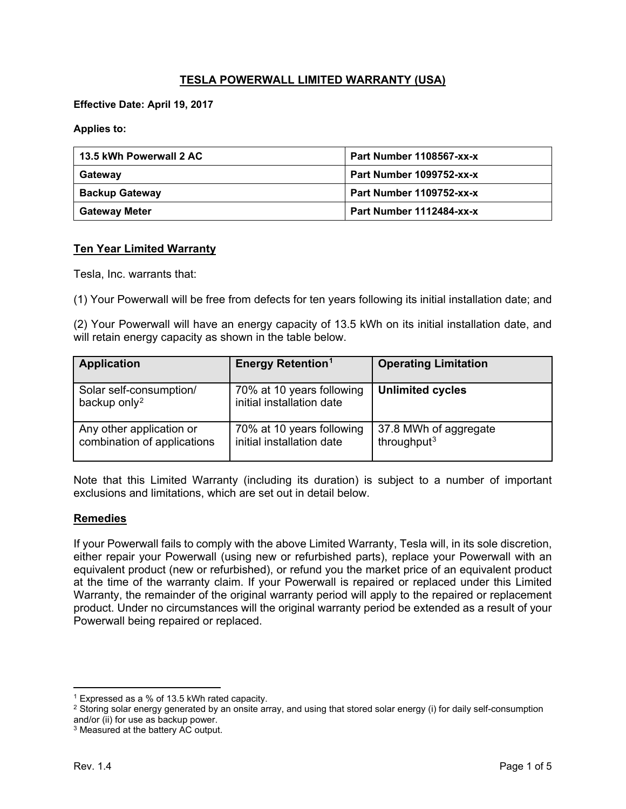# **TESLA POWERWALL LIMITED WARRANTY (USA)**

**Effective Date: April 19, 2017**

**Applies to:**

| 13.5 kWh Powerwall 2 AC | Part Number 1108567-xx-x |  |
|-------------------------|--------------------------|--|
| Gateway                 | Part Number 1099752-xx-x |  |
| <b>Backup Gateway</b>   | Part Number 1109752-xx-x |  |
| <b>Gateway Meter</b>    | Part Number 1112484-xx-x |  |

#### **Ten Year Limited Warranty**

Tesla, Inc. warrants that:

(1) Your Powerwall will be free from defects for ten years following its initial installation date; and

(2) Your Powerwall will have an energy capacity of 13.5 kWh on its initial installation date, and will retain energy capacity as shown in the table below.

| <b>Application</b>                                      | <b>Energy Retention<sup>1</sup></b>                    | <b>Operating Limitation</b>                      |
|---------------------------------------------------------|--------------------------------------------------------|--------------------------------------------------|
| Solar self-consumption/<br>backup only <sup>2</sup>     | 70% at 10 years following<br>initial installation date | <b>Unlimited cycles</b>                          |
| Any other application or<br>combination of applications | 70% at 10 years following<br>initial installation date | 37.8 MWh of aggregate<br>throughput <sup>3</sup> |

Note that this Limited Warranty (including its duration) is subject to a number of important exclusions and limitations, which are set out in detail below.

#### **Remedies**

If your Powerwall fails to comply with the above Limited Warranty, Tesla will, in its sole discretion, either repair your Powerwall (using new or refurbished parts), replace your Powerwall with an equivalent product (new or refurbished), or refund you the market price of an equivalent product at the time of the warranty claim. If your Powerwall is repaired or replaced under this Limited Warranty, the remainder of the original warranty period will apply to the repaired or replacement product. Under no circumstances will the original warranty period be extended as a result of your Powerwall being repaired or replaced.

 $\overline{\phantom{a}}$ 

<span id="page-0-0"></span><sup>1</sup> Expressed as a % of 13.5 kWh rated capacity.

<span id="page-0-1"></span><sup>&</sup>lt;sup>2</sup> Storing solar energy generated by an onsite array, and using that stored solar energy (i) for daily self-consumption and/or (ii) for use as backup power.

<span id="page-0-2"></span><sup>&</sup>lt;sup>3</sup> Measured at the battery AC output.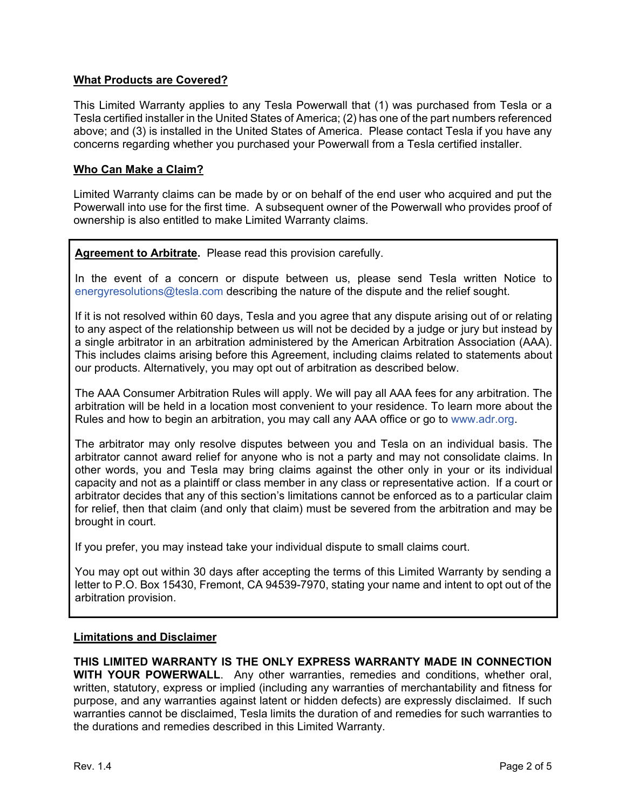## **What Products are Covered?**

This Limited Warranty applies to any Tesla Powerwall that (1) was purchased from Tesla or a Tesla certified installer in the United States of America; (2) has one of the part numbers referenced above; and (3) is installed in the United States of America. Please contact Tesla if you have any concerns regarding whether you purchased your Powerwall from a Tesla certified installer.

### **Who Can Make a Claim?**

Limited Warranty claims can be made by or on behalf of the end user who acquired and put the Powerwall into use for the first time. A subsequent owner of the Powerwall who provides proof of ownership is also entitled to make Limited Warranty claims.

**Agreement to Arbitrate.** Please read this provision carefully.

In the event of a concern or dispute between us, please send Tesla written Notice to [energyresolutions@tesla.com](mailto:energyresolutions@tesla.com) describing the nature of the dispute and the relief sought.

If it is not resolved within 60 days, Tesla and you agree that any dispute arising out of or relating to any aspect of the relationship between us will not be decided by a judge or jury but instead by a single arbitrator in an arbitration administered by the American Arbitration Association (AAA). This includes claims arising before this Agreement, including claims related to statements about our products. Alternatively, you may opt out of arbitration as described below.

The AAA Consumer Arbitration Rules will apply. We will pay all AAA fees for any arbitration. The arbitration will be held in a location most convenient to your residence. To learn more about the Rules and how to begin an arbitration, you may call any AAA office or go to [www.adr.org.](http://www.adr.org/)

The arbitrator may only resolve disputes between you and Tesla on an individual basis. The arbitrator cannot award relief for anyone who is not a party and may not consolidate claims. In other words, you and Tesla may bring claims against the other only in your or its individual capacity and not as a plaintiff or class member in any class or representative action. If a court or arbitrator decides that any of this section's limitations cannot be enforced as to a particular claim for relief, then that claim (and only that claim) must be severed from the arbitration and may be brought in court.

If you prefer, you may instead take your individual dispute to small claims court.

You may opt out within 30 days after accepting the terms of this Limited Warranty by sending a letter to P.O. Box 15430, Fremont, CA 94539-7970, stating your name and intent to opt out of the arbitration provision.

#### **Limitations and Disclaimer**

**THIS LIMITED WARRANTY IS THE ONLY EXPRESS WARRANTY MADE IN CONNECTION WITH YOUR POWERWALL**. Any other warranties, remedies and conditions, whether oral, written, statutory, express or implied (including any warranties of merchantability and fitness for purpose, and any warranties against latent or hidden defects) are expressly disclaimed. If such warranties cannot be disclaimed, Tesla limits the duration of and remedies for such warranties to the durations and remedies described in this Limited Warranty.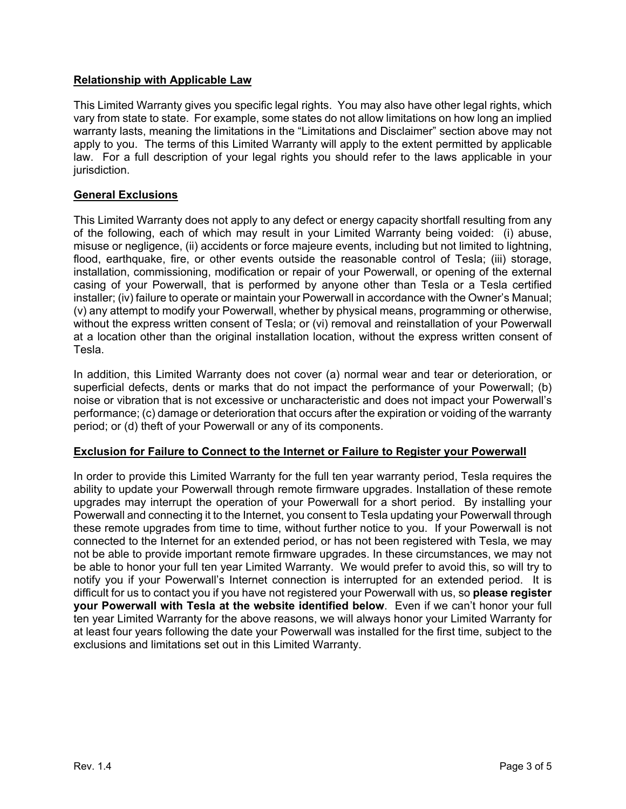# **Relationship with Applicable Law**

This Limited Warranty gives you specific legal rights. You may also have other legal rights, which vary from state to state. For example, some states do not allow limitations on how long an implied warranty lasts, meaning the limitations in the "Limitations and Disclaimer" section above may not apply to you. The terms of this Limited Warranty will apply to the extent permitted by applicable law. For a full description of your legal rights you should refer to the laws applicable in your jurisdiction.

## **General Exclusions**

This Limited Warranty does not apply to any defect or energy capacity shortfall resulting from any of the following, each of which may result in your Limited Warranty being voided: (i) abuse, misuse or negligence, (ii) accidents or force majeure events, including but not limited to lightning, flood, earthquake, fire, or other events outside the reasonable control of Tesla; (iii) storage, installation, commissioning, modification or repair of your Powerwall, or opening of the external casing of your Powerwall, that is performed by anyone other than Tesla or a Tesla certified installer; (iv) failure to operate or maintain your Powerwall in accordance with the Owner's Manual; (v) any attempt to modify your Powerwall, whether by physical means, programming or otherwise, without the express written consent of Tesla; or (vi) removal and reinstallation of your Powerwall at a location other than the original installation location, without the express written consent of Tesla.

In addition, this Limited Warranty does not cover (a) normal wear and tear or deterioration, or superficial defects, dents or marks that do not impact the performance of your Powerwall; (b) noise or vibration that is not excessive or uncharacteristic and does not impact your Powerwall's performance; (c) damage or deterioration that occurs after the expiration or voiding of the warranty period; or (d) theft of your Powerwall or any of its components.

## **Exclusion for Failure to Connect to the Internet or Failure to Register your Powerwall**

In order to provide this Limited Warranty for the full ten year warranty period, Tesla requires the ability to update your Powerwall through remote firmware upgrades. Installation of these remote upgrades may interrupt the operation of your Powerwall for a short period. By installing your Powerwall and connecting it to the Internet, you consent to Tesla updating your Powerwall through these remote upgrades from time to time, without further notice to you. If your Powerwall is not connected to the Internet for an extended period, or has not been registered with Tesla, we may not be able to provide important remote firmware upgrades. In these circumstances, we may not be able to honor your full ten year Limited Warranty. We would prefer to avoid this, so will try to notify you if your Powerwall's Internet connection is interrupted for an extended period. It is difficult for us to contact you if you have not registered your Powerwall with us, so **please register your Powerwall with Tesla at the website identified below**. Even if we can't honor your full ten year Limited Warranty for the above reasons, we will always honor your Limited Warranty for at least four years following the date your Powerwall was installed for the first time, subject to the exclusions and limitations set out in this Limited Warranty.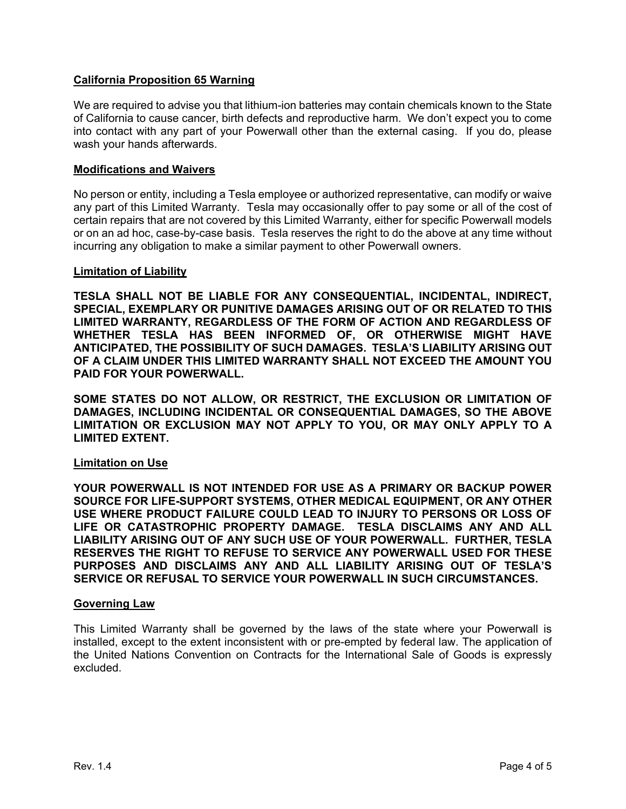## **California Proposition 65 Warning**

We are required to advise you that lithium-ion batteries may contain chemicals known to the State of California to cause cancer, birth defects and reproductive harm. We don't expect you to come into contact with any part of your Powerwall other than the external casing. If you do, please wash your hands afterwards.

#### **Modifications and Waivers**

No person or entity, including a Tesla employee or authorized representative, can modify or waive any part of this Limited Warranty. Tesla may occasionally offer to pay some or all of the cost of certain repairs that are not covered by this Limited Warranty, either for specific Powerwall models or on an ad hoc, case-by-case basis. Tesla reserves the right to do the above at any time without incurring any obligation to make a similar payment to other Powerwall owners.

#### **Limitation of Liability**

**TESLA SHALL NOT BE LIABLE FOR ANY CONSEQUENTIAL, INCIDENTAL, INDIRECT, SPECIAL, EXEMPLARY OR PUNITIVE DAMAGES ARISING OUT OF OR RELATED TO THIS LIMITED WARRANTY, REGARDLESS OF THE FORM OF ACTION AND REGARDLESS OF WHETHER TESLA HAS BEEN INFORMED OF, OR OTHERWISE MIGHT HAVE ANTICIPATED, THE POSSIBILITY OF SUCH DAMAGES. TESLA'S LIABILITY ARISING OUT OF A CLAIM UNDER THIS LIMITED WARRANTY SHALL NOT EXCEED THE AMOUNT YOU PAID FOR YOUR POWERWALL.**

**SOME STATES DO NOT ALLOW, OR RESTRICT, THE EXCLUSION OR LIMITATION OF DAMAGES, INCLUDING INCIDENTAL OR CONSEQUENTIAL DAMAGES, SO THE ABOVE LIMITATION OR EXCLUSION MAY NOT APPLY TO YOU, OR MAY ONLY APPLY TO A LIMITED EXTENT.**

#### **Limitation on Use**

**YOUR POWERWALL IS NOT INTENDED FOR USE AS A PRIMARY OR BACKUP POWER SOURCE FOR LIFE-SUPPORT SYSTEMS, OTHER MEDICAL EQUIPMENT, OR ANY OTHER USE WHERE PRODUCT FAILURE COULD LEAD TO INJURY TO PERSONS OR LOSS OF LIFE OR CATASTROPHIC PROPERTY DAMAGE. TESLA DISCLAIMS ANY AND ALL LIABILITY ARISING OUT OF ANY SUCH USE OF YOUR POWERWALL. FURTHER, TESLA RESERVES THE RIGHT TO REFUSE TO SERVICE ANY POWERWALL USED FOR THESE PURPOSES AND DISCLAIMS ANY AND ALL LIABILITY ARISING OUT OF TESLA'S SERVICE OR REFUSAL TO SERVICE YOUR POWERWALL IN SUCH CIRCUMSTANCES.**

#### **Governing Law**

This Limited Warranty shall be governed by the laws of the state where your Powerwall is installed, except to the extent inconsistent with or pre-empted by federal law. The application of the United Nations Convention on Contracts for the International Sale of Goods is expressly excluded.